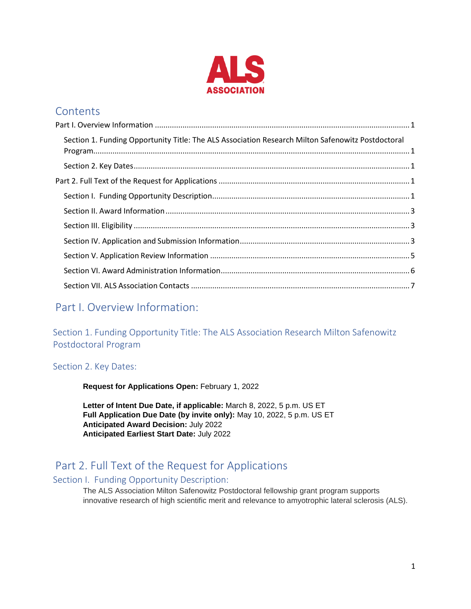

## **Contents**

| Section 1. Funding Opportunity Title: The ALS Association Research Milton Safenowitz Postdoctoral |  |
|---------------------------------------------------------------------------------------------------|--|
|                                                                                                   |  |
|                                                                                                   |  |
|                                                                                                   |  |
|                                                                                                   |  |
|                                                                                                   |  |
|                                                                                                   |  |
|                                                                                                   |  |
|                                                                                                   |  |
|                                                                                                   |  |

# <span id="page-0-0"></span>Part I. Overview Information:

<span id="page-0-1"></span>Section 1. Funding Opportunity Title: The ALS Association Research Milton Safenowitz Postdoctoral Program

Section 2. Key Dates:

**Request for Applications Open:** February 1, 2022

**Letter of Intent Due Date, if applicable:** March 8, 2022, 5 p.m. US ET **Full Application Due Date (by invite only):** May 10, 2022, 5 p.m. US ET **Anticipated Award Decision:** July 2022 **Anticipated Earliest Start Date:** July 2022

# <span id="page-0-2"></span>Part 2. Full Text of the Request for Applications

### <span id="page-0-3"></span>Section I. Funding Opportunity Description:

The ALS Association Milton Safenowitz Postdoctoral fellowship grant program supports innovative research of high scientific merit and relevance to amyotrophic lateral sclerosis (ALS).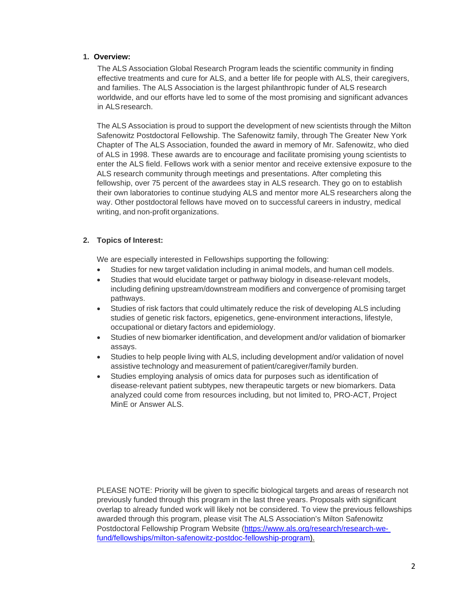#### **1. Overview:**

The ALS Association Global Research Program leads the scientific community in finding effective treatments and cure for ALS, and a better life for people with ALS, their caregivers, and families. The ALS Association is the largest philanthropic funder of ALS research worldwide, and our efforts have led to some of the most promising and significant advances in ALSresearch.

The ALS Association is proud to support the development of new scientists through the Milton Safenowitz Postdoctoral Fellowship. The Safenowitz family, through The Greater New York Chapter of The ALS Association, founded the award in memory of Mr. Safenowitz, who died of ALS in 1998. These awards are to encourage and facilitate promising young scientists to enter the ALS field. Fellows work with a senior mentor and receive extensive exposure to the ALS research community through meetings and presentations. After completing this fellowship, over 75 percent of the awardees stay in ALS research. They go on to establish their own laboratories to continue studying ALS and mentor more ALS researchers along the way. Other postdoctoral fellows have moved on to successful careers in industry, medical writing, and non-profit [organizations.](https://www.als.org/research/research-we-fund/fellowships/milton-safenowitz-postdoc-fellowship-program)

### **2. Topics of Interest:**

We are especially interested in Fellowships supporting the following:

- Studies for new target validation including in animal models, and human cell models.
- Studies that would elucidate target or pathway biology in disease-relevant models, including defining upstream/downstream modifiers and convergence of promising target pathways.
- Studies of risk factors that could ultimately reduce the risk of developing ALS including studies of genetic risk factors, epigenetics, gene-environment interactions, lifestyle, occupational or dietary factors and epidemiology.
- Studies of new biomarker identification, and development and/or validation of biomarker assays.
- Studies to help people living with ALS, including development and/or validation of novel assistive technology and measurement of patient/caregiver/family burden.
- Studies employing analysis of omics data for purposes such as identification of disease-relevant patient subtypes, new therapeutic targets or new biomarkers. Data analyzed could come from resources including, but not limited to, PRO-ACT, Project MinE or Answer ALS.

PLEASE NOTE: Priority will be given to specific biological targets and areas of research not previously funded through this program in the last three years. Proposals with significant overlap to already funded work will likely not be considered. To view the previous fellowships awarded through this program, please visit The ALS Association's Milton Safenowitz Postdoctoral Fellowship Program Website [\(https://www.als.org/research/research-we](https://www.als.org/research/research-we-fund/fellowships/milton-safenowitz-postdoc-fellowship-program)[fund/fellowships/milton-safenowitz-postdoc-fellowship-program\)](https://www.als.org/research/research-we-fund/fellowships/milton-safenowitz-postdoc-fellowship-program).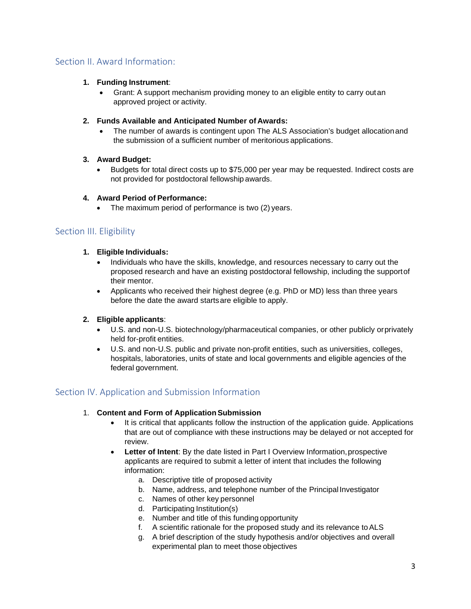### <span id="page-2-0"></span>Section II. Award Information:

### **1. Funding Instrument**:

• Grant: A support mechanism providing money to an eligible entity to carry outan approved project or activity.

### **2. Funds Available and Anticipated Number of Awards:**

• The number of awards is contingent upon The ALS Association's budget allocationand the submission of a sufficient number of meritorious applications.

### **3. Award Budget:**

• Budgets for total direct costs up to \$75,000 per year may be requested. Indirect costs are not provided for postdoctoral fellowship awards.

### **4. Award Period of Performance:**

The maximum period of performance is two (2) years.

### <span id="page-2-1"></span>Section III. Eligibility

### **1. Eligible Individuals:**

- Individuals who have the skills, knowledge, and resources necessary to carry out the proposed research and have an existing postdoctoral fellowship, including the supportof their mentor.
- Applicants who received their highest degree (e.g. PhD or MD) less than three years before the date the award startsare eligible to apply.

### **2. Eligible applicants**:

- U.S. and non-U.S. biotechnology/pharmaceutical companies, or other publicly orprivately held for-profit entities.
- U.S. and non-U.S. public and private non-profit entities, such as universities, colleges, hospitals, laboratories, units of state and local governments and eligible agencies of the federal government.

### <span id="page-2-2"></span>Section IV. Application and Submission Information

### 1. **Content and Form of Application Submission**

- It is critical that applicants follow the instruction of the application guide. Applications that are out of compliance with these instructions may be delayed or not accepted for review.
- Letter of Intent: By the date listed in Part I Overview Information, prospective applicants are required to submit a letter of intent that includes the following information:
	- a. Descriptive title of proposed activity
	- b. Name, address, and telephone number of the Principal Investigator
	- c. Names of other key personnel
	- d. Participating Institution(s)
	- e. Number and title of this funding opportunity
	- f. A scientific rationale for the proposed study and its relevance toALS
	- g. A brief description of the study hypothesis and/or objectives and overall experimental plan to meet those objectives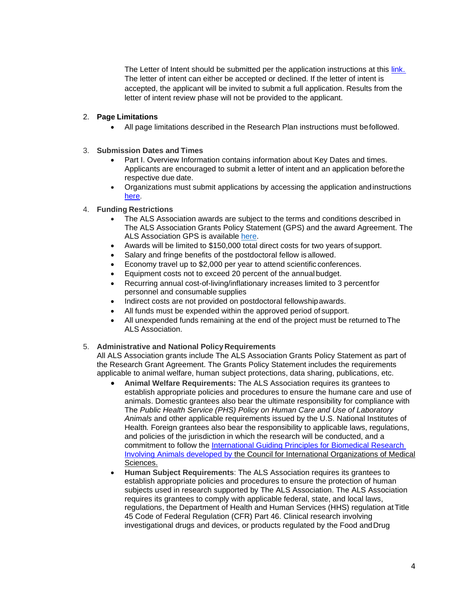The Letter of Intent should be submitted per the application instructions at this [link.](https://docs.proposalcentral.com/CreateApp.pdf) The letter of intent can either be accepted or declined. If the letter of intent is accepted, the applicant will be invited to submit a full application. Results from the letter of intent review phase will not be provided to the applicant.

#### 2. **Page Limitations**

- All page limitations described in the Research Plan instructions must befollowed.
- 3. **Submission Dates and Times**
	- Part I. Overview Information contains information about Key Dates and times. Applicants are encouraged to submit a letter of intent and an application beforethe respective due date.
	- Organizations must submit applications by accessing the application andinstructions [here.](https://proposalcentral.com/)
- 4. **Funding Restrictions**
	- The ALS Association awards are subject to the terms and conditions described in The ALS Association Grants Policy Statement (GPS) and the award Agreement. The ALS Association GPS is available [here.](https://www.als.org/sites/default/files/2021-03/ALS%20Association%20Grants%20Policy%20Statement%203-22-2021.pdf)
	- Awards will be limited to \$150,000 total direct costs for two years of support.
	- Salary and fringe benefits of the postdoctoral fellow is allowed.
	- Economy travel up to \$2,000 per year to attend scientific conferences.
	- Equipment costs not to exceed 20 percent of the annual budget.
	- Recurring annual cost-of-living/inflationary increases limited to 3 percentfor personnel and consumable supplies
	- Indirect costs are not provided on postdoctoral fellowshipawards.
	- All funds must be expended within the approved period of support.
	- All unexpended funds remaining at the end of the project must be returned toThe ALS Association.

#### 5. **Administrative and National Policy Requirements**

All ALS Association grants include The ALS Association Grants Policy Statement as part of the Research Grant Agreement. The Grants Policy Statement includes the requirements applicable to animal welfare, human subject protections, data sharing, publications, etc.

- **Animal Welfare Requirements:** The ALS Association requires its grantees to establish appropriate policies and procedures to ensure the humane care and use of animals. Domestic grantees also bear the ultimate responsibility for compliance with The *Public Health Service (PHS) Policy on Human Care and Use of Laboratory Animals* and other applicable requirements issued by the U.S. National Institutes of Health*.* Foreign grantees also bear the responsibility to applicable laws, regulations, and policies of the jurisdiction in which the research will be conducted, and a commitment to follow the [International Guiding Principles for Biomedical Research](https://olaw.nih.gov/sites/default/files/Guiding_Principles_2012.pdf)  [Involving Animals](https://olaw.nih.gov/sites/default/files/Guiding_Principles_2012.pdf) developed by the Council for International Organizations of Medical Sciences.
- **Human Subject Requirements**: The ALS Association requires its grantees to establish appropriate policies and procedures to ensure the protection of human subjects used in research supported by The ALS Association. The ALS Association requires its grantees to comply with applicable federal, state, and local laws, regulations, the Department of Health and Human Services (HHS) regulation at Title 45 Code of Federal Regulation (CFR) Part 46. Clinical research involving investigational drugs and devices, or products regulated by the Food andDrug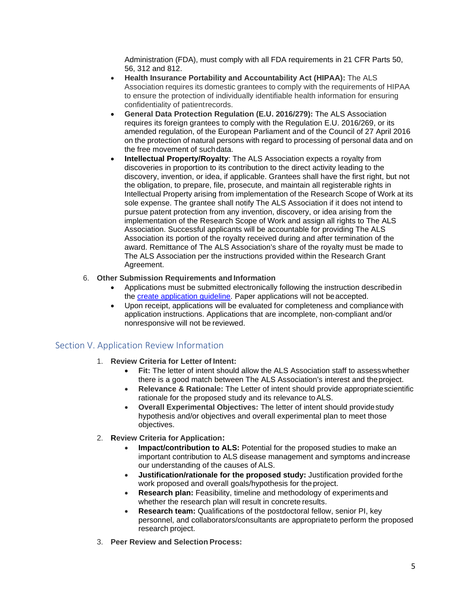Administration (FDA), must comply with all FDA requirements in 21 CFR Parts 50, 56, 312 and 812.

- **Health Insurance Portability and Accountability Act (HIPAA):** The ALS Association requires its domestic grantees to comply with the requirements of HIPAA to ensure the protection of individually identifiable health information for ensuring confidentiality of patientrecords.
- **General Data Protection Regulation (E.U. 2016/279):** The ALS Association requires its foreign grantees to comply with the Regulation E.U. 2016/269, or its amended regulation, of the European Parliament and of the Council of 27 April 2016 on the protection of natural persons with regard to processing of personal data and on the free movement of suchdata.
- **Intellectual Property/Royalty**: The ALS Association expects a royalty from discoveries in proportion to its contribution to the direct activity leading to the discovery, invention, or idea, if applicable. Grantees shall have the first right, but not the obligation, to prepare, file, prosecute, and maintain all registerable rights in Intellectual Property arising from implementation of the Research Scope of Work at its sole expense. The grantee shall notify The ALS Association if it does not intend to pursue patent protection from any invention, discovery, or idea arising from the implementation of the Research Scope of Work and assign all rights to The ALS Association. Successful applicants will be accountable for providing The ALS Association its portion of the royalty received during and after termination of the award. Remittance of The ALS Association's share of the royalty must be made to The ALS Association per the instructions provided within the Research Grant Agreement.

### 6. **Other Submission Requirements and Information**

- Applications must be submitted electronically following the instruction describedin the [create application guideline.](https://docs.proposalcentral.com/CreateApp.pdf) Paper applications will not beaccepted.
- Upon receipt, applications will be evaluated for completeness and compliancewith application instructions. Applications that are incomplete, non-compliant and/or nonresponsive will not be reviewed.

### <span id="page-4-0"></span>Section V. Application Review Information

- 1. **Review Criteria for Letter of Intent:**
	- **Fit:** The letter of intent should allow the ALS Association staff to assesswhether there is a good match between The ALS Association's interest and theproject.
	- **Relevance & Rationale:** The Letter of intent should provide appropriatescientific rationale for the proposed study and its relevance to ALS.
	- **Overall Experimental Objectives:** The letter of intent should providestudy hypothesis and/or objectives and overall experimental plan to meet those objectives.
- 2. **Review Criteria for Application:**
	- **Impact/contribution to ALS:** Potential for the proposed studies to make an important contribution to ALS disease management and symptoms andincrease our understanding of the causes of ALS.
	- **Justification/rationale for the proposed study:** Justification provided forthe work proposed and overall goals/hypothesis for the project.
	- **Research plan:** Feasibility, timeline and methodology of experiments and whether the research plan will result in concrete results.
	- **Research team:** Qualifications of the postdoctoral fellow, senior PI, key personnel, and collaborators/consultants are appropriateto perform the proposed research project.
- 3. **Peer Review and Selection Process:**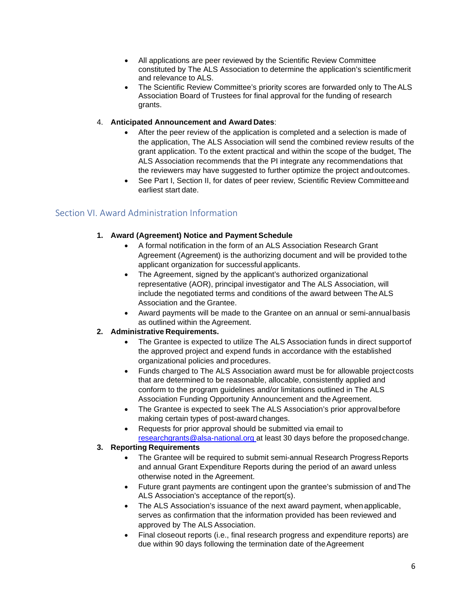- All applications are peer reviewed by the Scientific Review Committee constituted by The ALS Association to determine the application's scientificmerit and relevance to ALS.
- The Scientific Review Committee's priority scores are forwarded only to TheALS Association Board of Trustees for final approval for the funding of research grants.

### 4. **Anticipated Announcement and Award Dates**:

- After the peer review of the application is completed and a selection is made of the application, The ALS Association will send the combined review results of the grant application. To the extent practical and within the scope of the budget, The ALS Association recommends that the PI integrate any recommendations that the reviewers may have suggested to further optimize the project andoutcomes.
- See Part I, Section II, for dates of peer review, Scientific Review Committeeand earliest start date.

### <span id="page-5-0"></span>Section VI. Award Administration Information

### 1. Award (Agreement) Notice and Payment Schedule

- A formal notification in the form of an ALS Association Research Grant Agreement (Agreement) is the authorizing document and will be provided tothe applicant organization for successful applicants.
- The Agreement, signed by the applicant's authorized organizational representative (AOR), principal investigator and The ALS Association, will include the negotiated terms and conditions of the award between TheALS Association and the Grantee.
- Award payments will be made to the Grantee on an annual or semi-annualbasis as outlined within the Agreement.

### **2. Administrative Requirements.**

- The Grantee is expected to utilize The ALS Association funds in direct support of the approved project and expend funds in accordance with the established organizational policies and procedures.
- Funds charged to The ALS Association award must be for allowable project costs that are determined to be reasonable, allocable, consistently applied and conform to the program guidelines and/or limitations outlined in The ALS Association Funding Opportunity Announcement and the Agreement.
- The Grantee is expected to seek The ALS Association's prior approval before making certain types of post-award changes.
- Requests for prior approval should be submitted via email to [researchgrants@alsa-national.org a](mailto:researchgrants@alsa-national.org)t least 30 days before the proposedchange.

### **3. Reporting Requirements**

- The Grantee will be required to submit semi-annual Research Progress Reports and annual Grant Expenditure Reports during the period of an award unless otherwise noted in the Agreement.
- Future grant payments are contingent upon the grantee's submission of andThe ALS Association's acceptance of the report(s).
- The ALS Association's issuance of the next award payment, when applicable, serves as confirmation that the information provided has been reviewed and approved by The ALS Association.
- Final closeout reports (i.e., final research progress and expenditure reports) are due within 90 days following the termination date of theAgreement